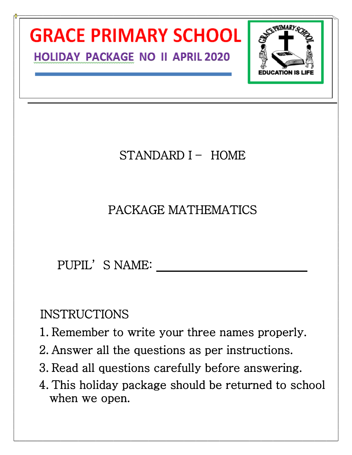

- 3. Read all questions carefully before answering.
- 4. This holiday package should be returned to school when we open.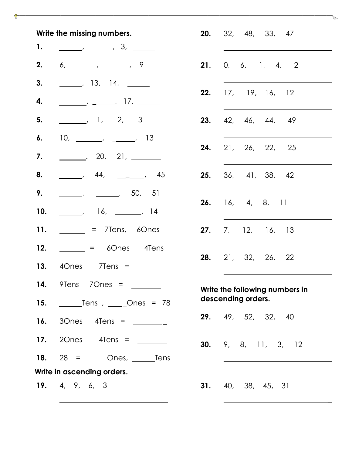| Write the missing numbers. |                                                                                                                                                                                                                                                                                                                                                                                                                                   |                         |  | <b>20.</b> 32, 48, 33, 47   |  |  |
|----------------------------|-----------------------------------------------------------------------------------------------------------------------------------------------------------------------------------------------------------------------------------------------------------------------------------------------------------------------------------------------------------------------------------------------------------------------------------|-------------------------|--|-----------------------------|--|--|
| 1.                         | $\frac{1}{\sqrt{1-\frac{1}{2}}}\frac{3}{\sqrt{1-\frac{1}{2}}}\frac{3}{\sqrt{1-\frac{1}{2}}}\frac{3}{\sqrt{1-\frac{1}{2}}}\frac{3}{\sqrt{1-\frac{1}{2}}}\frac{3}{\sqrt{1-\frac{1}{2}}}\frac{3}{\sqrt{1-\frac{1}{2}}}\frac{3}{\sqrt{1-\frac{1}{2}}}\frac{3}{\sqrt{1-\frac{1}{2}}}\frac{3}{\sqrt{1-\frac{1}{2}}}\frac{3}{\sqrt{1-\frac{1}{2}}}\frac{3}{\sqrt{1-\frac{1}{2}}}\frac{3}{\sqrt{1-\frac{1}{2}}}\frac{3}{\sqrt{1-\frac{$   |                         |  |                             |  |  |
| 2.                         | $6,$ $\frac{\ }{\ }$ , $\frac{\ }{\ }$ , $\frac{\ }{\ }$ , 9                                                                                                                                                                                                                                                                                                                                                                      | 21.                     |  | 0, 6, 1, 4, 2               |  |  |
| 3.                         | $\frac{13}{13}$ , 14, $\frac{14}{13}$                                                                                                                                                                                                                                                                                                                                                                                             |                         |  |                             |  |  |
| 4.                         |                                                                                                                                                                                                                                                                                                                                                                                                                                   | 22.                     |  | 17, 19, 16, 12              |  |  |
| 5.                         | $\frac{1}{2}$ , 1, 2, 3                                                                                                                                                                                                                                                                                                                                                                                                           | 23.                     |  | 42, 46, 44, 49              |  |  |
| 6.                         | $10, \underline{\hspace{1cm}}$ $\phantom{10}$ $\phantom{10}$ $\phantom{10}$ $\phantom{10}$ $\phantom{10}$ $\phantom{10}$ $\phantom{10}$ $\phantom{10}$ $\phantom{10}$ $\phantom{10}$ $\phantom{10}$ $\phantom{10}$ $\phantom{10}$ $\phantom{10}$ $\phantom{10}$ $\phantom{10}$ $\phantom{10}$ $\phantom{10}$ $\phantom{10}$ $\phantom{10}$ $\phantom{1$                                                                           |                         |  |                             |  |  |
| 7.                         | _________. 20, 21, ________                                                                                                                                                                                                                                                                                                                                                                                                       | 24.                     |  | 21, 26, 22, 25              |  |  |
| 8.                         |                                                                                                                                                                                                                                                                                                                                                                                                                                   | 25.                     |  | 36, 41, 38, 42              |  |  |
| 9.                         | $\frac{1}{2}$ , $\frac{1}{2}$ , 50, 51                                                                                                                                                                                                                                                                                                                                                                                            |                         |  |                             |  |  |
| 10.                        | <u>_______</u> , 16, _______, 14                                                                                                                                                                                                                                                                                                                                                                                                  | <b>26.</b> 16, 4, 8, 11 |  |                             |  |  |
| 11.                        | $\frac{1}{\sqrt{1-\frac{1}{\sqrt{1-\frac{1}{\sqrt{1-\frac{1}{\sqrt{1-\frac{1}{\sqrt{1-\frac{1}{\sqrt{1-\frac{1}{\sqrt{1-\frac{1}{\sqrt{1-\frac{1}{\sqrt{1-\frac{1}{\sqrt{1-\frac{1}{\sqrt{1-\frac{1}{\sqrt{1-\frac{1}{\sqrt{1-\frac{1}{\sqrt{1-\frac{1}{\sqrt{1-\frac{1}{\sqrt{1-\frac{1}{\sqrt{1-\frac{1}{\sqrt{1-\frac{1}{\sqrt{1-\frac{1}{\sqrt{1-\frac{1}{\sqrt{1-\frac{1}{\sqrt{1-\frac{1}{\sqrt{1-\frac{1}{\sqrt{1-\frac{1$ | 27.                     |  | 7, 12, 16, 13               |  |  |
| 12.                        | $\angle$ = 60nes 4Tens                                                                                                                                                                                                                                                                                                                                                                                                            |                         |  |                             |  |  |
|                            |                                                                                                                                                                                                                                                                                                                                                                                                                                   | 28.                     |  | 21, 32, 26, 22              |  |  |
|                            | 14. 9Tens 7Ones = ________                                                                                                                                                                                                                                                                                                                                                                                                        |                         |  | Write the following numbers |  |  |
| 15.                        |                                                                                                                                                                                                                                                                                                                                                                                                                                   |                         |  | descending orders.          |  |  |
|                            | <b>16.</b> 30nes 4Tens = $\frac{1}{2}$                                                                                                                                                                                                                                                                                                                                                                                            |                         |  | 29. 49, 52, 32, 40          |  |  |
|                            | 17. 20nes 4Tens = $\frac{20}{2}$                                                                                                                                                                                                                                                                                                                                                                                                  |                         |  | 30. 9, 8, 11, 3, 1          |  |  |
|                            |                                                                                                                                                                                                                                                                                                                                                                                                                                   |                         |  |                             |  |  |
| Write in ascending orders. |                                                                                                                                                                                                                                                                                                                                                                                                                                   |                         |  |                             |  |  |
|                            | 19. $4, 9, 6, 3$                                                                                                                                                                                                                                                                                                                                                                                                                  |                         |  | <b>31.</b> 40, 38, 45, 31   |  |  |

|                                                      | 20. 32, 48, 33, 47       |  |  |  |
|------------------------------------------------------|--------------------------|--|--|--|
|                                                      | <b>21.</b> 0, 6, 1, 4, 2 |  |  |  |
|                                                      | 22. 17, 19, 16, 12       |  |  |  |
|                                                      | 23. 42, 46, 44, 49       |  |  |  |
|                                                      | 24. 21, 26, 22, 25       |  |  |  |
|                                                      | 25. 36, 41, 38, 42       |  |  |  |
| 26.                                                  | 16, 4, 8, 11             |  |  |  |
|                                                      | 27. 7, 12, 16, 13        |  |  |  |
|                                                      | 28. 21, 32, 26, 22       |  |  |  |
| Write the following numbers in<br>descending orders. |                          |  |  |  |
|                                                      | 29. 49, 52, 32, 40       |  |  |  |
|                                                      | 30. 9, 8, 11, 3, 12      |  |  |  |
|                                                      | 31. 40, 38, 45, 31       |  |  |  |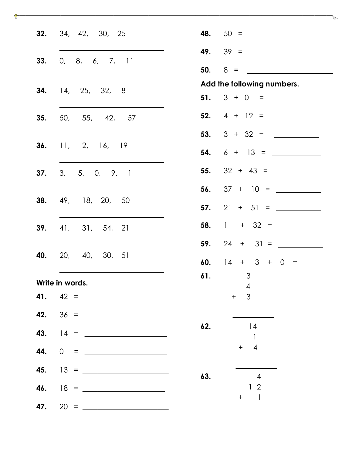| <b>32.</b> 34, 42, 30, 25<br><b>48.</b> $50 =$             |                |
|------------------------------------------------------------|----------------|
| <b>49.</b> $39 =$                                          |                |
| 33.<br>0, 8, 6, 7, 11                                      |                |
| $50.8 =$<br>Add the following numbers.                     |                |
| <b>34.</b> 14, 25, 32, 8<br>51. $3 + 0 =$                  |                |
| <b>52.</b> $4 + 12 =$<br><b>35.</b> 50, 55, 42, 57         |                |
| 53. $3 + 32 =$                                             |                |
| <b>36.</b> 11, 2, 16, 19<br><b>54.</b> $6 + 13 =$          |                |
| <b>55.</b> $32 + 43 =$<br>3, 5, 0, 9, 1<br>37.             |                |
| 56. $37 + 10 =$                                            |                |
| 49, 18, 20, 50<br>38.<br>57.                               | $21 + 51 =$    |
| <b>58.</b> 1 + 32 = $\frac{ }{ }$<br>41, 31, 54, 21<br>39. |                |
| 59.                                                        | $24 + 31 =$    |
| 20, 40, 30, 51<br>40.<br>60. $14 + 3 + 0 =$                |                |
| $\mathfrak{Z}$<br>61.<br>Write in words.                   |                |
| $\overline{4}$<br>3<br>$+$                                 |                |
|                                                            |                |
| 14<br>62.<br><b>43.</b> 14 = $\frac{1}{\sqrt{11}}$         | $\mathbf{1}$   |
|                                                            | $+ 4$          |
| 45. $13 = \_$<br>63.                                       | $\overline{4}$ |
| <b>46.</b> $18 = \_$                                       | 1 <sup>2</sup> |
|                                                            | $+$ 1          |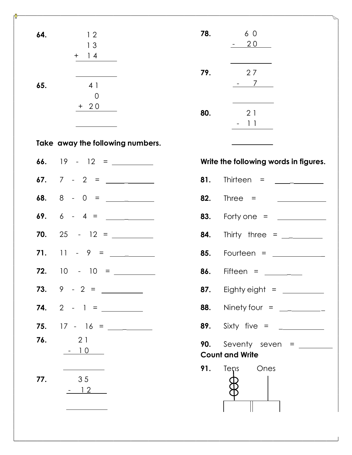| 64. | 12<br>13<br>$+$ 14                                        | 78. | 60<br>$-20$                                                                                                                                                                                                                                                                                                                                                                                                 |
|-----|-----------------------------------------------------------|-----|-------------------------------------------------------------------------------------------------------------------------------------------------------------------------------------------------------------------------------------------------------------------------------------------------------------------------------------------------------------------------------------------------------------|
| 65. | 4 1<br>$\overline{0}$                                     | 79. | 27<br>$-7$                                                                                                                                                                                                                                                                                                                                                                                                  |
|     | $+20$                                                     | 80. | the control of the control of the control of<br>21<br>$-11$                                                                                                                                                                                                                                                                                                                                                 |
|     | Take away the following numbers.                          |     |                                                                                                                                                                                                                                                                                                                                                                                                             |
|     |                                                           |     | Write the following words in figures.                                                                                                                                                                                                                                                                                                                                                                       |
|     |                                                           | 81. | Thirteen = $\frac{1}{\sqrt{1-\frac{1}{2}}\sqrt{1-\frac{1}{2}}\sqrt{1-\frac{1}{2}}\sqrt{1-\frac{1}{2}}\sqrt{1-\frac{1}{2}}\sqrt{1-\frac{1}{2}}\sqrt{1-\frac{1}{2}}\sqrt{1-\frac{1}{2}}\sqrt{1-\frac{1}{2}}\sqrt{1-\frac{1}{2}}\sqrt{1-\frac{1}{2}}\sqrt{1-\frac{1}{2}}\sqrt{1-\frac{1}{2}}\sqrt{1-\frac{1}{2}}\sqrt{1-\frac{1}{2}}\sqrt{1-\frac{1}{2}}\sqrt{1-\frac{1}{2}}\sqrt{1-\frac{1}{2}}\sqrt{1-\frac$ |
|     |                                                           | 82. |                                                                                                                                                                                                                                                                                                                                                                                                             |
|     | 69. $6 - 4 =$                                             | 83. | Forty one = $\frac{1}{2}$                                                                                                                                                                                                                                                                                                                                                                                   |
|     |                                                           | 84. |                                                                                                                                                                                                                                                                                                                                                                                                             |
|     | 71. 11 - 9 = $\frac{1}{\sqrt{11}}$                        | 85. | Fourteen = $\frac{1}{2}$                                                                                                                                                                                                                                                                                                                                                                                    |
| 72. | $10 - 10 =$                                               | 86. | Fifteen $=$<br><u>and a strong strong part of the strong strong part of the strong strong strong strong strong strong strong strong strong strong strong strong strong strong strong strong strong strong strong strong strong strong strong st</u>                                                                                                                                                         |
|     |                                                           |     | <b>87.</b> Eighty eight = $\frac{1}{2}$                                                                                                                                                                                                                                                                                                                                                                     |
|     |                                                           |     | <b>88.</b> Ninety four = ___________                                                                                                                                                                                                                                                                                                                                                                        |
|     | <b>75.</b> $17 - 16 =$                                    |     | <b>89.</b> Sixty five = $\frac{1}{2}$                                                                                                                                                                                                                                                                                                                                                                       |
| 76. | 2 1<br>$-10$                                              |     | <b>90.</b> Seventy seven $=$<br><b>Count and Write</b>                                                                                                                                                                                                                                                                                                                                                      |
| 77. | <u> 1989 - Johann Barbara, martin basa</u><br>35<br>$-12$ |     | 91. Tens Ones                                                                                                                                                                                                                                                                                                                                                                                               |

## **Write the following words in figures.**

|     | 81. Thirteen $=$<br>and the company of the company                                                                                                                                                                                                                                                                                                                                                      |
|-----|---------------------------------------------------------------------------------------------------------------------------------------------------------------------------------------------------------------------------------------------------------------------------------------------------------------------------------------------------------------------------------------------------------|
|     | $82.$ Three =<br><u> 1990 - Andrea Station, amerikansk politik (</u>                                                                                                                                                                                                                                                                                                                                    |
|     | <b>83.</b> Forty one = $\frac{1}{2}$                                                                                                                                                                                                                                                                                                                                                                    |
| 84. | Thirty three = $\frac{1}{\sqrt{1-\frac{1}{2}}\sqrt{1-\frac{1}{2}}\sqrt{1-\frac{1}{2}}\sqrt{1-\frac{1}{2}}\sqrt{1-\frac{1}{2}}\sqrt{1-\frac{1}{2}}\sqrt{1-\frac{1}{2}}\sqrt{1-\frac{1}{2}}\sqrt{1-\frac{1}{2}}\sqrt{1-\frac{1}{2}}\sqrt{1-\frac{1}{2}}\sqrt{1-\frac{1}{2}}\sqrt{1-\frac{1}{2}}\sqrt{1-\frac{1}{2}}\sqrt{1-\frac{1}{2}}\sqrt{1-\frac{1}{2}}\sqrt{1-\frac{1}{2}}\sqrt{1-\frac{1}{2}}\sqrt$ |
|     | <b>85.</b> Fourteen = _____________                                                                                                                                                                                                                                                                                                                                                                     |
|     | <b>86.</b> Fifteen = ________                                                                                                                                                                                                                                                                                                                                                                           |
|     | <b>87.</b> Eighty eight = $\frac{1}{2}$                                                                                                                                                                                                                                                                                                                                                                 |
|     | <b>88.</b> Ninety four = $\frac{1}{2}$                                                                                                                                                                                                                                                                                                                                                                  |
|     |                                                                                                                                                                                                                                                                                                                                                                                                         |
|     | <b>90.</b> Seventy seven = $\frac{1}{\sqrt{1-\frac{1}{2}}}\sqrt{1-\frac{1}{2}}$<br><b>Count and Write</b>                                                                                                                                                                                                                                                                                               |
|     | <b>91.</b> Tens Ones                                                                                                                                                                                                                                                                                                                                                                                    |